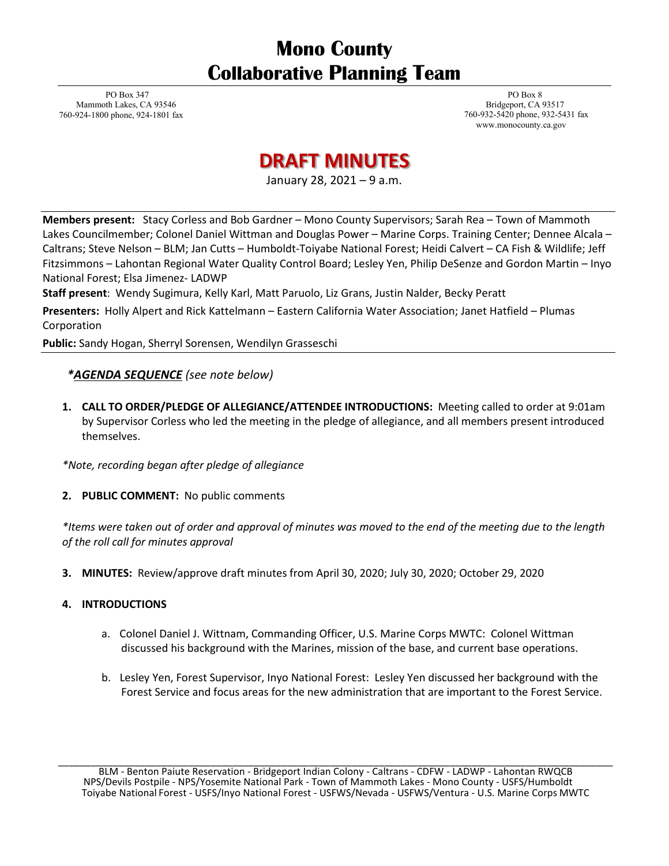# **Mono County Collaborative Planning Team**

PO Box 347 Mammoth Lakes, CA 93546 760-924-1800 phone, 924-1801 fax

PO Box 8 Bridgeport, CA 93517 760-932-5420 phone, 932-5431 fax [www.monocounty.ca.gov](http://www.monocounty.ca.gov/)

# **DRAFT MINUTES**

January 28, 2021 – 9 a.m.

**Members present:** Stacy Corless and Bob Gardner – Mono County Supervisors; Sarah Rea – Town of Mammoth Lakes Councilmember; Colonel Daniel Wittman and Douglas Power – Marine Corps. Training Center; Dennee Alcala – Caltrans; Steve Nelson – BLM; Jan Cutts – Humboldt-Toiyabe National Forest; Heidi Calvert – CA Fish & Wildlife; Jeff Fitzsimmons – Lahontan Regional Water Quality Control Board; Lesley Yen, Philip DeSenze and Gordon Martin – Inyo National Forest; Elsa Jimenez- LADWP

**Staff present**: Wendy Sugimura, Kelly Karl, Matt Paruolo, Liz Grans, Justin Nalder, Becky Peratt

**Presenters:** Holly Alpert and Rick Kattelmann – Eastern California Water Association; Janet Hatfield – Plumas Corporation

**Public:** Sandy Hogan, Sherryl Sorensen, Wendilyn Grasseschi

### *\*AGENDA SEQUENCE (see note below)*

**1. CALL TO ORDER/PLEDGE OF ALLEGIANCE/ATTENDEE INTRODUCTIONS:** Meeting called to order at 9:01am by Supervisor Corless who led the meeting in the pledge of allegiance, and all members present introduced themselves.

*\*Note, recording began after pledge of allegiance* 

**2. PUBLIC COMMENT:** No public comments

*\*Items were taken out of order and approval of minutes was moved to the end of the meeting due to the length of the roll call for minutes approval* 

**3. MINUTES:** Review/approve draft minutes from April 30, 2020; July 30, 2020; October 29, 2020

#### **4. INTRODUCTIONS**

- a. Colonel Daniel J. Wittnam, Commanding Officer, U.S. Marine Corps MWTC: Colonel Wittman discussed his background with the Marines, mission of the base, and current base operations.
- b. Lesley Yen, Forest Supervisor, Inyo National Forest: Lesley Yen discussed her background with the Forest Service and focus areas for the new administration that are important to the Forest Service.

BLM - Benton Paiute Reservation - Bridgeport Indian Colony - Caltrans - CDFW - LADWP - Lahontan RWQCB NPS/Devils Postpile - NPS/Yosemite National Park - Town of Mammoth Lakes - Mono County - USFS/Humboldt Toiyabe National Forest - USFS/Inyo National Forest - USFWS/Nevada - USFWS/Ventura - U.S. Marine Corps MWTC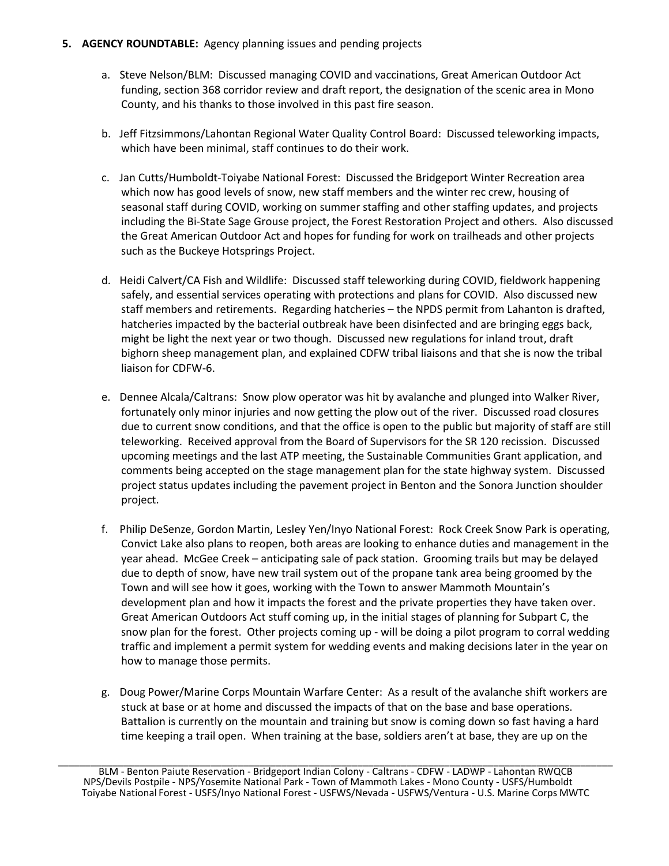#### **5. AGENCY ROUNDTABLE:** Agency planning issues and pending projects

- a. Steve Nelson/BLM: Discussed managing COVID and vaccinations, Great American Outdoor Act funding, section 368 corridor review and draft report, the designation of the scenic area in Mono County, and his thanks to those involved in this past fire season.
- b. Jeff Fitzsimmons/Lahontan Regional Water Quality Control Board: Discussed teleworking impacts, which have been minimal, staff continues to do their work.
- c. Jan Cutts/Humboldt-Toiyabe National Forest: Discussed the Bridgeport Winter Recreation area which now has good levels of snow, new staff members and the winter rec crew, housing of seasonal staff during COVID, working on summer staffing and other staffing updates, and projects including the Bi-State Sage Grouse project, the Forest Restoration Project and others. Also discussed the Great American Outdoor Act and hopes for funding for work on trailheads and other projects such as the Buckeye Hotsprings Project.
- d. Heidi Calvert/CA Fish and Wildlife: Discussed staff teleworking during COVID, fieldwork happening safely, and essential services operating with protections and plans for COVID. Also discussed new staff members and retirements. Regarding hatcheries – the NPDS permit from Lahanton is drafted, hatcheries impacted by the bacterial outbreak have been disinfected and are bringing eggs back, might be light the next year or two though. Discussed new regulations for inland trout, draft bighorn sheep management plan, and explained CDFW tribal liaisons and that she is now the tribal liaison for CDFW-6.
- e. Dennee Alcala/Caltrans: Snow plow operator was hit by avalanche and plunged into Walker River, fortunately only minor injuries and now getting the plow out of the river. Discussed road closures due to current snow conditions, and that the office is open to the public but majority of staff are still teleworking. Received approval from the Board of Supervisors for the SR 120 recission. Discussed upcoming meetings and the last ATP meeting, the Sustainable Communities Grant application, and comments being accepted on the stage management plan for the state highway system. Discussed project status updates including the pavement project in Benton and the Sonora Junction shoulder project.
- f. Philip DeSenze, Gordon Martin, Lesley Yen/Inyo National Forest: Rock Creek Snow Park is operating, Convict Lake also plans to reopen, both areas are looking to enhance duties and management in the year ahead. McGee Creek – anticipating sale of pack station. Grooming trails but may be delayed due to depth of snow, have new trail system out of the propane tank area being groomed by the Town and will see how it goes, working with the Town to answer Mammoth Mountain's development plan and how it impacts the forest and the private properties they have taken over. Great American Outdoors Act stuff coming up, in the initial stages of planning for Subpart C, the snow plan for the forest. Other projects coming up - will be doing a pilot program to corral wedding traffic and implement a permit system for wedding events and making decisions later in the year on how to manage those permits.
- g. Doug Power/Marine Corps Mountain Warfare Center: As a result of the avalanche shift workers are stuck at base or at home and discussed the impacts of that on the base and base operations. Battalion is currently on the mountain and training but snow is coming down so fast having a hard time keeping a trail open. When training at the base, soldiers aren't at base, they are up on the

BLM - Benton Paiute Reservation - Bridgeport Indian Colony - Caltrans - CDFW - LADWP - Lahontan RWQCB NPS/Devils Postpile - NPS/Yosemite National Park - Town of Mammoth Lakes - Mono County - USFS/Humboldt Toiyabe National Forest - USFS/Inyo National Forest - USFWS/Nevada - USFWS/Ventura - U.S. Marine Corps MWTC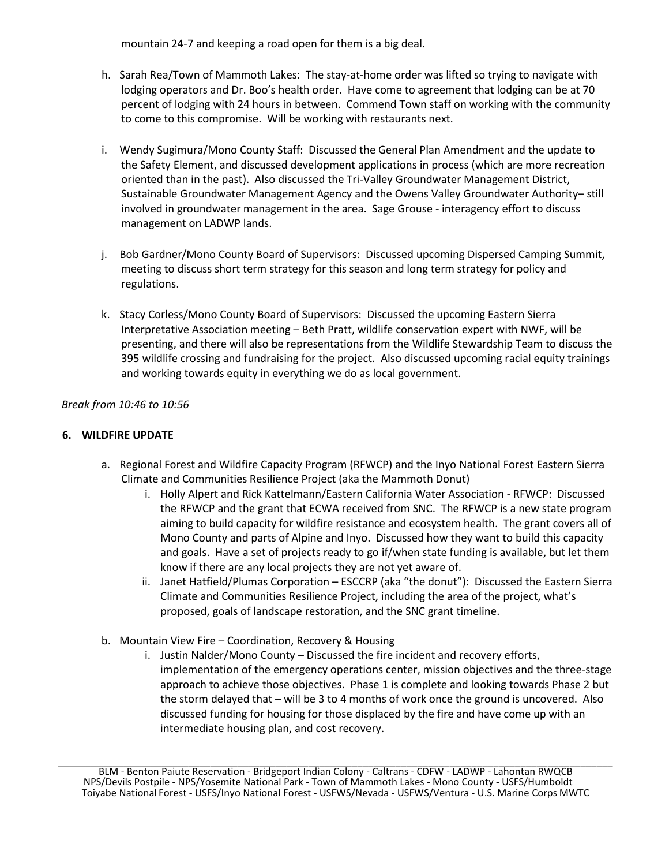mountain 24-7 and keeping a road open for them is a big deal.

- h. Sarah Rea/Town of Mammoth Lakes: The stay-at-home order was lifted so trying to navigate with lodging operators and Dr. Boo's health order. Have come to agreement that lodging can be at 70 percent of lodging with 24 hours in between. Commend Town staff on working with the community to come to this compromise. Will be working with restaurants next.
- i. Wendy Sugimura/Mono County Staff: Discussed the General Plan Amendment and the update to the Safety Element, and discussed development applications in process (which are more recreation oriented than in the past). Also discussed the Tri-Valley Groundwater Management District, Sustainable Groundwater Management Agency and the Owens Valley Groundwater Authority– still involved in groundwater management in the area. Sage Grouse - interagency effort to discuss management on LADWP lands.
- j. Bob Gardner/Mono County Board of Supervisors: Discussed upcoming Dispersed Camping Summit, meeting to discuss short term strategy for this season and long term strategy for policy and regulations.
- k. Stacy Corless/Mono County Board of Supervisors: Discussed the upcoming Eastern Sierra Interpretative Association meeting – Beth Pratt, wildlife conservation expert with NWF, will be presenting, and there will also be representations from the Wildlife Stewardship Team to discuss the 395 wildlife crossing and fundraising for the project. Also discussed upcoming racial equity trainings and working towards equity in everything we do as local government.

 *Break from 10:46 to 10:56*

#### **6. WILDFIRE UPDATE**

- a. Regional Forest and Wildfire Capacity Program (RFWCP) and the Inyo National Forest Eastern Sierra Climate and Communities Resilience Project (aka the Mammoth Donut)
	- i. Holly Alpert and Rick Kattelmann/Eastern California Water Association RFWCP: Discussed the RFWCP and the grant that ECWA received from SNC. The RFWCP is a new state program aiming to build capacity for wildfire resistance and ecosystem health. The grant covers all of Mono County and parts of Alpine and Inyo. Discussed how they want to build this capacity and goals. Have a set of projects ready to go if/when state funding is available, but let them know if there are any local projects they are not yet aware of.
	- ii. Janet Hatfield/Plumas Corporation ESCCRP (aka "the donut"): Discussed the Eastern Sierra Climate and Communities Resilience Project, including the area of the project, what's proposed, goals of landscape restoration, and the SNC grant timeline.
- b. Mountain View Fire Coordination, Recovery & Housing
	- i. Justin Nalder/Mono County Discussed the fire incident and recovery efforts, implementation of the emergency operations center, mission objectives and the three-stage approach to achieve those objectives. Phase 1 is complete and looking towards Phase 2 but the storm delayed that – will be 3 to 4 months of work once the ground is uncovered. Also discussed funding for housing for those displaced by the fire and have come up with an intermediate housing plan, and cost recovery.